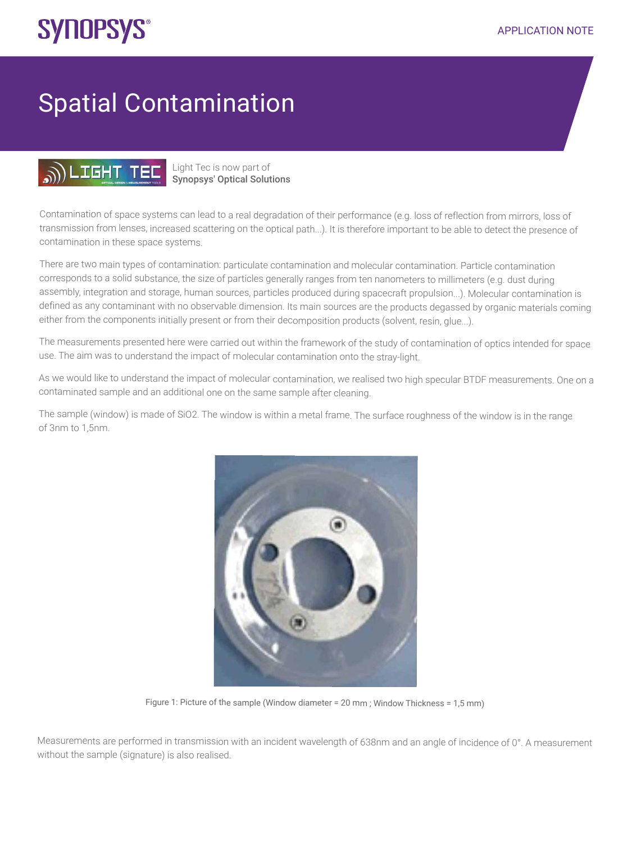## **SYNOPSYS®**

## Spatial Contamination



## Light Tec is now part of Synopsys' Optical Solutions

Contamination of space systems can lead to a real degradation of their performance (e.g. loss of reflection from mirrors, loss of transmission from lenses, increased scattering on the optical path...). It is therefore important to be able to detect the presence of contamination in these space systems.

There are two main types of contamination: particulate contamination and molecular contamination. Particle contamination corresponds to a solid substance, the size of particles generally ranges from ten nanometers to millimeters (e.g. dust during assembly, integration and storage, human sources, particles produced during spacecraft propulsion...). Molecular contamination is defined as any contaminant with no observable dimension. Its main sources are the products degassed by organic materials coming either from the components initially present or from their decomposition products (solvent, resin, glue...).

The measurements presented here were carried out within the framework of the study of contamination of optics intended for space use. The aim was to understand the impact of molecular contamination onto the stray-light.

As we would like to understand the impact of molecular contamination, we realised two high specular BTDF measurements. One on a contaminated sample and an additional one on the same sample after cleaning.

The sample (window) is made of SiO2. The window is within a metal frame. The surface roughness of the window is in the range of 3nm to 1,5nm.



Figure 1: Picture of the sample (Window diameter = 20 mm ; Window Thickness = 1,5 mm)

Measurements are performed in transmission with an incident wavelength of 638nm and an angle of incidence of 0°. A measurement without the sample (signature) is also realised.